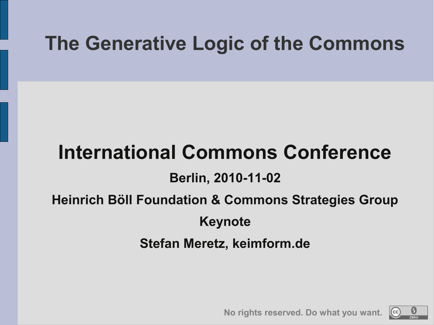## **The Generative Logic of the Commons**

## **International Commons Conference**

#### **Berlin, 2010-11-02**

### **Heinrich Böll Foundation & Commons Strategies Group**

### **Keynote**

#### **Stefan Meretz, keimform.de**



**No rights reserved. Do what you want.**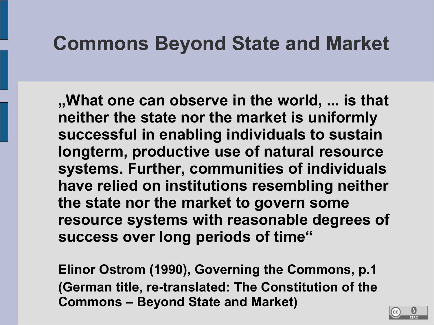## **Commons Beyond State and Market**

**"What one can observe in the world, ... is that neither the state nor the market is uniformly successful in enabling individuals to sustain longterm, productive use of natural resource systems. Further, communities of individuals have relied on institutions resembling neither the state nor the market to govern some resource systems with reasonable degrees of success over long periods of time"**

**Elinor Ostrom (1990), Governing the Commons, p.1 (German title, re-translated: The Constitution of the Commons – Beyond State and Market)**

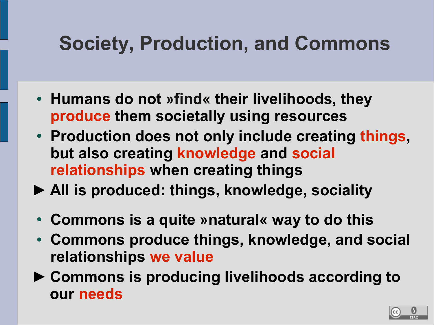# **Society, Production, and Commons**

- **Humans do not »find« their livelihoods, they produce them societally using resources**
- Production does not only include creating things, **but also creating knowledge and social relationships when creating things**
- **► All is produced: things, knowledge, sociality**
- **Commons is a quite »natural« way to do this**
- Commons produce things, knowledge, and social **relationships we value**
- **► Commons is producing livelihoods according to our needs**

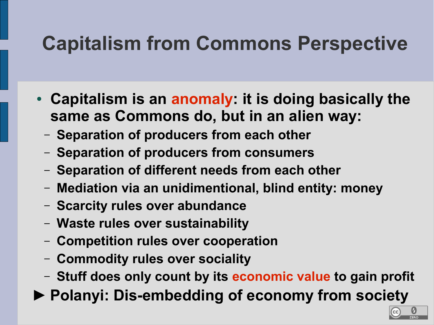# **Capitalism from Commons Perspective**

- Capitalism is an anomaly: it is doing basically the **same as Commons do, but in an alien way:**
	- **Separation of producers from each other**
	- **Separation of producers from consumers**
	- **Separation of different needs from each other**
	- **Mediation via an unidimentional, blind entity: money**
	- **Scarcity rules over abundance**
	- **Waste rules over sustainability**
	- **Competition rules over cooperation**
	- **Commodity rules over sociality**
	- **Stuff does only count by its economic value to gain profit**
- **► Polanyi: Dis-embedding of economy from society**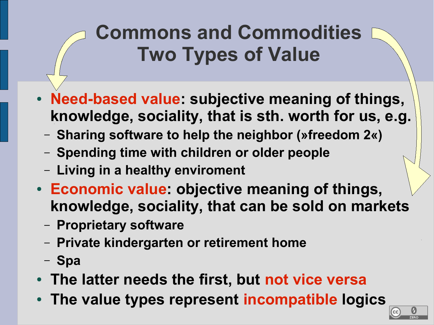# **Commons and Commodities Two Types of Value**

- **Need-based value: subjective meaning of things, knowledge, sociality, that is sth. worth for us, e.g.**
	- **Sharing software to help the neighbor (»freedom 2«)**
	- **Spending time with children or older people**
	- **Living in a healthy enviroment**
- **Economic value: objective meaning of things, knowledge, sociality, that can be sold on markets**
	- **Proprietary software**
	- **Private kindergarten or retirement home**
	- **Spa**
- **The latter needs the first, but not vice versa**
- The value types represent incompatible logics

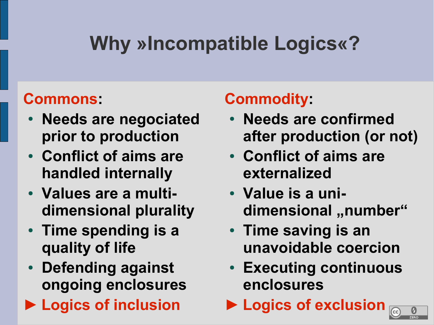# **Why »Incompatible Logics«?**

### **Commons:**

- **Needs are negociated prior to production**
- **Conflict of aims are handled internally**
- **Values are a multidimensional plurality**
- Time spending is a **quality of life**
- **Defending against ongoing enclosures**
- **► Logics of inclusion**

## **Commodity:**

- **Needs are confirmed after production (or not)**
- **Conflict of aims are externalized**
- **Value is a uni**dimensional "number"
- Time saving is an **unavoidable coercion**
- **Executing continuous enclosures**
- **► Logics of exclusion**

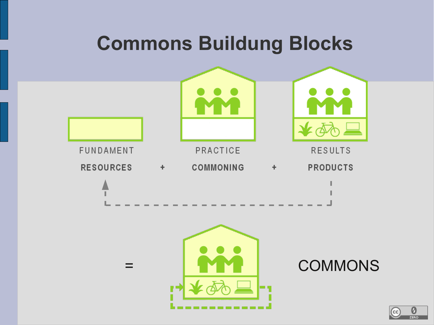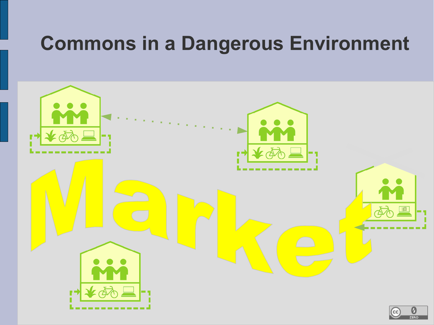## **Commons in a Dangerous Environment**

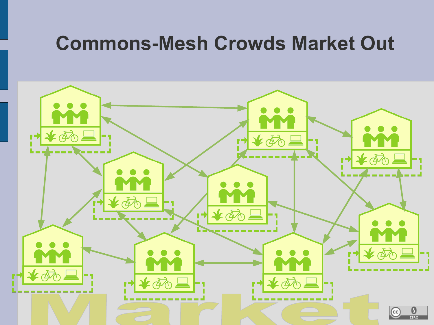## **Commons-Mesh Crowds Market Out**

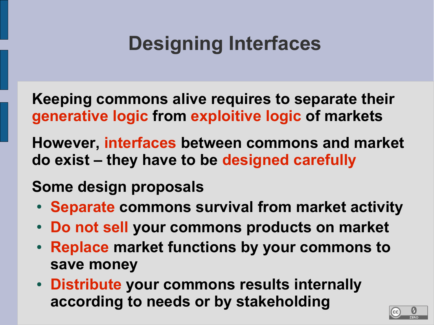# **Designing Interfaces**

**Keeping commons alive requires to separate their generative logic from exploitive logic of markets**

**However, interfaces between commons and market do exist – they have to be designed carefully**

### **Some design proposals**

- **Separate commons survival from market activity**
- **Do not sell your commons products on market**
- **Replace market functions by your commons to save money**
- **Distribute your commons results internally according to needs or by stakeholding**

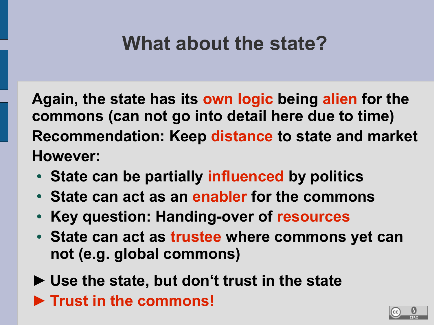## **What about the state?**

**Again, the state has its own logic being alien for the commons (can not go into detail here due to time) Recommendation: Keep distance to state and market However:**

- State can be partially influenced by politics
- State can act as an enabler for the commons
- **Key question: Handing-over of resources**
- State can act as trustee where commons yet can **not (e.g. global commons)**

**► Use the state, but don't trust in the state ► Trust in the commons!**